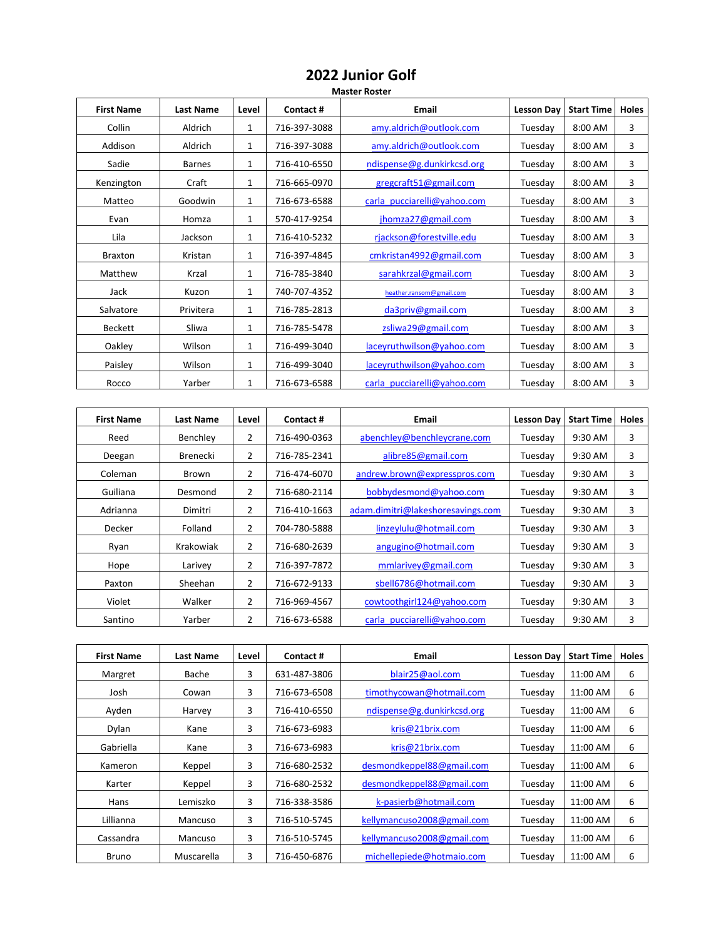## **2022 Junior Golf**

## **Master Roster**

| <b>First Name</b> | <b>Last Name</b> | Level        | Contact#     | Email                       | Lesson Day | <b>Start Time</b> | <b>Holes</b> |
|-------------------|------------------|--------------|--------------|-----------------------------|------------|-------------------|--------------|
| Collin            | Aldrich          | 1            | 716-397-3088 | amy.aldrich@outlook.com     | Tuesday    | 8:00 AM           | 3            |
| Addison           | Aldrich          | 1            | 716-397-3088 | amy.aldrich@outlook.com     | Tuesday    | 8:00 AM           | 3            |
| Sadie             | <b>Barnes</b>    | 1            | 716-410-6550 | ndispense@g.dunkirkcsd.org  | Tuesday    | 8:00 AM           | 3            |
| Kenzington        | Craft            | 1            | 716-665-0970 | gregcraft51@gmail.com       | Tuesday    | 8:00 AM           | 3            |
| Matteo            | Goodwin          | $\mathbf{1}$ | 716-673-6588 | carla pucciarelli@yahoo.com | Tuesday    | $8:00$ AM         | 3            |
| Evan              | Homza            | 1            | 570-417-9254 | jhomza27@gmail.com          | Tuesday    | 8:00 AM           | 3            |
| Lila              | Jackson          | 1            | 716-410-5232 | rjackson@forestville.edu    | Tuesday    | 8:00 AM           | 3            |
| <b>Braxton</b>    | Kristan          | 1            | 716-397-4845 | cmkristan4992@gmail.com     | Tuesday    | 8:00 AM           | 3            |
| Matthew           | Krzal            | 1            | 716-785-3840 | sarahkrzal@gmail.com        | Tuesday    | 8:00 AM           | 3            |
| Jack              | Kuzon            | 1            | 740-707-4352 | heather.ransom@gmail.com    | Tuesday    | 8:00 AM           | 3            |
| Salvatore         | Privitera        | $\mathbf{1}$ | 716-785-2813 | da3priv@gmail.com           | Tuesday    | 8:00 AM           | 3            |
| Beckett           | Sliwa            | 1            | 716-785-5478 | zsliwa29@gmail.com          | Tuesday    | 8:00 AM           | 3            |
| Oakley            | Wilson           | 1            | 716-499-3040 | laceyruthwilson@yahoo.com   | Tuesday    | 8:00 AM           | 3            |
| Paisley           | Wilson           | $\mathbf{1}$ | 716-499-3040 | laceyruthwilson@yahoo.com   | Tuesday    | 8:00 AM           | 3            |
| Rocco             | Yarber           | 1            | 716-673-6588 | carla pucciarelli@yahoo.com | Tuesday    | 8:00 AM           | 3            |

| <b>First Name</b> | <b>Last Name</b> | Level          | Contact#     | Email                             | <b>Lesson Dav</b> | <b>Start Time</b> | <b>Holes</b> |
|-------------------|------------------|----------------|--------------|-----------------------------------|-------------------|-------------------|--------------|
| Reed              | Benchlev         | 2              | 716-490-0363 | abenchley@benchleycrane.com       | Tuesdav           | 9:30 AM           | 3            |
| Deegan            | Brenecki         | 2              | 716-785-2341 | alibre85@gmail.com                | Tuesdav           | 9:30 AM           | 3            |
| Coleman           | <b>Brown</b>     | 2              | 716-474-6070 | andrew.brown@expresspros.com      | Tuesday           | 9:30 AM           | 3            |
| Guiliana          | Desmond          | 2              | 716-680-2114 | bobbydesmond@yahoo.com            | Tuesday           | 9:30 AM           | 3            |
| Adrianna          | Dimitri          | 2              | 716-410-1663 | adam.dimitri@lakeshoresavings.com | Tuesdav           | 9:30 AM           | 3            |
| Decker            | Folland          | 2              | 704-780-5888 | linzeylulu@hotmail.com            | Tuesday           | 9:30 AM           | 3            |
| Ryan              | Krakowiak        | $\overline{2}$ | 716-680-2639 | angugino@hotmail.com              | Tuesday           | 9:30 AM           | 3            |
| Hope              | Larivey          | $\overline{2}$ | 716-397-7872 | mmlarivey@gmail.com               | Tuesday           | 9:30 AM           | 3            |
| Paxton            | Sheehan          | 2              | 716-672-9133 | sbell6786@hotmail.com             | Tuesday           | 9:30 AM           | 3            |
| Violet            | Walker           | 2              | 716-969-4567 | cowtoothgirl124@yahoo.com         | Tuesdav           | 9:30 AM           | 3            |
| Santino           | Yarber           | 2              | 716-673-6588 | carla pucciarelli@yahoo.com       | Tuesday           | 9:30 AM           | 3            |

| <b>First Name</b> | <b>Last Name</b> | Level | Contact#     | Email                      | Lesson Dav | <b>Start Time</b> | <b>Holes</b> |
|-------------------|------------------|-------|--------------|----------------------------|------------|-------------------|--------------|
| Margret           | Bache            | 3     | 631-487-3806 | blair25@aol.com            | Tuesdav    | 11:00 AM          | 6            |
| Josh              | Cowan            | 3     | 716-673-6508 | timothycowan@hotmail.com   | Tuesday    | 11:00 AM          | 6            |
| Ayden             | Harvey           | 3     | 716-410-6550 | ndispense@g.dunkirkcsd.org | Tuesday    | 11:00 AM          | 6            |
| Dylan             | Kane             | 3     | 716-673-6983 | kris@21brix.com            | Tuesday    | 11:00 AM          | 6            |
| Gabriella         | Kane             | 3     | 716-673-6983 | kris@21brix.com            | Tuesdav    | 11:00 AM          | 6            |
| Kameron           | Keppel           | 3     | 716-680-2532 | desmondkeppel88@gmail.com  | Tuesday    | 11:00 AM          | 6            |
| Karter            | Keppel           | 3     | 716-680-2532 | desmondkeppel88@gmail.com  | Tuesday    | 11:00 AM          | 6            |
| Hans              | Lemiszko         | 3     | 716-338-3586 | k-pasierb@hotmail.com      | Tuesday    | 11:00 AM          | 6            |
| Lillianna         | Mancuso          | 3     | 716-510-5745 | kellymancuso2008@gmail.com | Tuesdav    | 11:00 AM          | 6            |
| Cassandra         | Mancuso          | 3     | 716-510-5745 | kellymancuso2008@gmail.com | Tuesday    | 11:00 AM          | 6            |
| Bruno             | Muscarella       | 3     | 716-450-6876 | michellepiede@hotmaio.com  | Tuesdav    | 11:00 AM          | 6            |